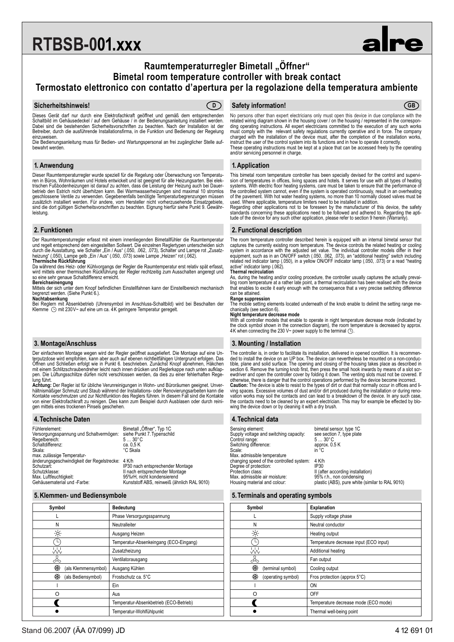# **RTBSB-001.xxx**

# **Raumtemperaturregler Bimetall "Öffner" Bimetal room temperature controller with break contact Termostato elettronico con contatto d'apertura per la regolazione della temperatura ambiente**



Dieses Gerät darf nur durch eine Elektrofachkraft geöffnet und gemäß dem entsprechenden Schaltbild im Gehäusedeckel / auf dem Gehäuse / in der Bedienungsanleitung installiert werden. Dabei sind die bestehenden Sicherheitsvorschriften zu beachten. Nach der Installation ist der Betreiber, durch die ausführende Installationsfirma, in die Funktion und Bedienung der Regelung einzuweisen.

Die Bedienungsanleitung muss für Bedien- und Wartungspersonal an frei zugänglicher Stelle aufbewahrt werden.

#### **1. Anwendung**

Dieser Raumtemperaturregler wurde speziell für die Regelung oder Überwachung von Temperaturen in Büros, Wohnräumen und Hotels entwickelt und ist geeignet für alle Heizungsarten. Bei elek-<br>trischen Fußbodenheizungen ist darauf zu achten, dass die Leistung der Heizung auch bei Dauer-<br>betrieb den Estrich nicht übe geschlossene Ventile zu verwenden. Gegebenenfalls benötigte Temperaturbegrenzungen müssen zusätzlich installiert werden. Für andere, vom Hersteller nicht vorherzusehende Einsatzgebiete, sind die dort gültigen Sicherheitsvorschriften zu beachten. Eignung hierfür siehe Punkt 9. Gewährleistung.

#### **2. Funktionen**

Der Raumtemperaturregler erfasst mit einem innenliegenden Bimetallfühler die Raumtemperatur und regelt entsprechend dem eingestellten Sollwert. Die einzelnen Reglertypen unterscheiden sich<br>durch die Ausstattung, wie Schalter "Ein / Aus" (.050, .062, .073), Schalter und Lampe rot "Zusatz-

heizung" (.050), Lampe gelb "Ein / Aus" (.050, .073) sowie Lampe "Heizen" rot (.062).<br>**Thermische Rücktührung**<br>Da während des Heiz- oder Kühlvorgangs der Regler die Raumtemperatur erst relativ spät erfasst,<br>Wird mittels e so eine sehr genaue Schaltdifferenz erreicht.

#### **Bereichseinengung**

Mittels der sich unter dem Knopf befindlichen Einstellfahnen kann der Einstellbereich mechanisch begrenzt werden. (Siehe Punkt 6.).

**Nachtabsenkung**<br>Bei Reglern mit Absenkbetrieb (Uhrensymbol im Anschluss-Schaltbild) wird bei Beschalten der<br>Klemme ① mit 230V~ auf eine um ca. 4K geringere Temperatur geregelt.

#### **3. Montage/Anschluss**

Der einfacheren Montage wegen wird der Regler geöffnet ausgeliefert. Die Montage auf eine Un-<br>terputzdose wird empfohlen, kann aber auch auf ebenen nichtleitfähigen Untergrund erfolgen. Das<br>Öffnen und Schließen erfolgt wie mit einem Schlitzschraubendreher leicht nach innen drücken und Reglerkappe nach unten aufklap-pen. Die Lüftungsschlitze dürfen nicht verschlossen werden, da dies zu einer fehlerhaften Rege-lung führt.

**Achtung:** Der Regler ist für übliche Verunreinigungen in Wohn- und Büroräumen geeignet. Unver-<br>hältnismäßiger Schmutz und Staub während der Installations- oder Renovierungsarbeiten kann die<br>Kontakte verschmutzen und zur N von einer Elektrofachkraft zu reinigen. Dies kann zum Beispiel durch Ausblasen oder durch reini-gen mittels eines trockenen Pinsels geschehen.

#### **4.Technische Daten**

| Fühlerelement:<br>Versorgungsspannung und Schaltvermögen:<br>Regelbereich:<br>Schaltdifferenz:<br>Skala:                                | Bimetall "Öffner", Typ 1C<br>siehe Punkt 7. Typenschild<br>$530^{\circ}$ C<br>ca. 0.5 K<br>°C Skala |
|-----------------------------------------------------------------------------------------------------------------------------------------|-----------------------------------------------------------------------------------------------------|
| max. zulässige Temperatur-<br>änderungsgeschwindigkeit der Regelstrecke: 4 K/h<br>Schutzart:<br>Schutzklasse:<br>Max. Luftfeuchtigkeit: | IP30 nach entsprechender Montage<br>II nach entsprechender Montage<br>95%rH, nicht kondensierend    |
| Gehäusematerial und -Farbe:                                                                                                             | Kunststoff ABS, reinweiß (ähnlich RAL 9010)                                                         |

#### **5.Klemmen- und Bediensymbole**

| Symbol                   | <b>Bedeutung</b>                       |
|--------------------------|----------------------------------------|
|                          | Phase Versorgungsspannung              |
| N                        | Neutralleiter                          |
| $\frac{1}{2}$            | Ausgang Heizen                         |
|                          | Temperatur-Absenkeingang (ECO-Eingang) |
| 処                        | Zusatzheizung                          |
| $\rightsquigarrow$       | Ventilatorausgang                      |
| ₩<br>(als Klemmensymbol) | Ausgang Kühlen                         |
| ₩<br>(als Bediensymbol)  | Frostschutz ca. 5°C                    |
|                          | Ein                                    |
| ∩                        | Aus                                    |
|                          | Temperatur-Absenkbetrieb (ECO-Betrieb) |
|                          | Temperatur-Wohlfühlpunkt               |

### **Sicherheitshinweis! Safety information! D GB**

No persons other than expert electricians only must open this device in due compliance with the related wiring diagram shown in the housing cover / on the housing / represented in the correspon-<br>ding operating instructions. All expert electricians committed to the execution of any such works<br>must comply with the rele instruct the user of the control system into its functions and in how to operate it correctly. These operating instructions must be kept at a place that can be accessed freely by the operating and/or servicing personnel in charge.

#### **1. Application**

This bimetal room temperature controller has been specially devised for the control and supervision of temperatures in offices, living spaces and hotels. It serves for use with all types of heating<br>systems. With electric floor heating systems, care must be taken to ensure that the performance of<br>the controlled syste of the pavement. With hot water heating systems, no more than 10 normally closed valves must be used. Where applicable, temperature limiters need to be installed in addition.

Regarding other applications not to be foreseen by the manufacturer of this device, the safety standards concerning these applications need to be followed and adhered to. Regarding the aptitude of the device for any such other application, please refer to section 9 herein (Warranty).

#### **2. Functional description**

The room temperature controller described herein is equipped with an internal bimetal sensor that<br>captures the currently existing room temperature. The device controls the related heating or cooling<br>system in accordance wi equipment, such as in an ON/OFF switch (.050, .062, .073), an "additional heating" switch including<br>related red indicator lamp (.050), in a yellow ON/OFF indicator lamp (.050, .073) or a read "heating<br>active" indicator lam

### **Thermal recirculation**

As, during the heating and/or cooling procedure, the controller usually captures the actually prevai-ling room temperature at a rather late point, a thermal recirculation has been realised with the device that enables to excite it early enough with the consequence that a very precise switching difference can be attained.

#### **Range suppression**

The mobile setting elements located underneath of the knob enable to delimit the setting range mechanically (see section 6).

## **Night temperature decrease mode**

With all controller models that enable to operate in night temperature decrease mode (indicated by<br>the clock symbol shown in the connection diagram), the room temperature is decreased by approx.<br>4K when connecting the 230

#### **3. Mounting / Installation**

The controller is, in order to facilitate its installation, delivered in opened condition. It is recommended to install the device on an UP box. The device can nevertheless be mounted on a non-conduc-tible, plane and solid surface. The opening and closing of the housing takes place as described in section 6. Remove the turning knob first, then press the small hook inwards by means of a slot scr-ewdriver and open the controller cover by folding it down. The venting slots must not be covered. If otherwise, there is danger that the control operations performed by the device become incorrect.<br>Caution: The device is able to resist to the types of dirt or dust that normally occur in offices and li-<br>ving spaces. Excess the contacts need to be cleaned by an expert electrician. This may for example be effected by blo-wing the device down or by cleaning it with a dry brush.

#### **4.Technical data**

Sensing element: bimetal sensor, type 1C<br>Supply voltage and switching capacity: see section 7, type plate<br>Control range: 5... 30°C Supply voltage and switching capacity: Control range: 5 ... 30°C<br>Switching difference: approx. 0.5 K<br>Scale: in °C Switching difference:<br>Scale: Scale: in °C Max. admissible temperature changing speed of the controlled system: 4 K/h Degree of protection: IP30 Protection class: II (after according installation) Max. admissible air moisture:<br>Housing material and colour:

95% r.h., non condensing<br>plastic (ABS), pure white (similar to RAL 9010)

#### **5.Terminals and operating symbols**

| Symbol                  | <b>Explanation</b>                     |
|-------------------------|----------------------------------------|
|                         | Supply voltage phase                   |
| Ν                       | Neutral conductor                      |
| 亭                       | Heating output                         |
|                         | Temperature decrease input (ECO input) |
| W                       | Additional heating                     |
| ↛                       | Fan output                             |
| ₩<br>(terminal symbol)  | Cooling output                         |
| ₩<br>(operating symbol) | Fros protection (approx 5°C)           |
|                         | ON                                     |
| റ                       | OFF                                    |
|                         | Temperature decrease mode (ECO mode)   |
|                         | Thermal well-being point               |